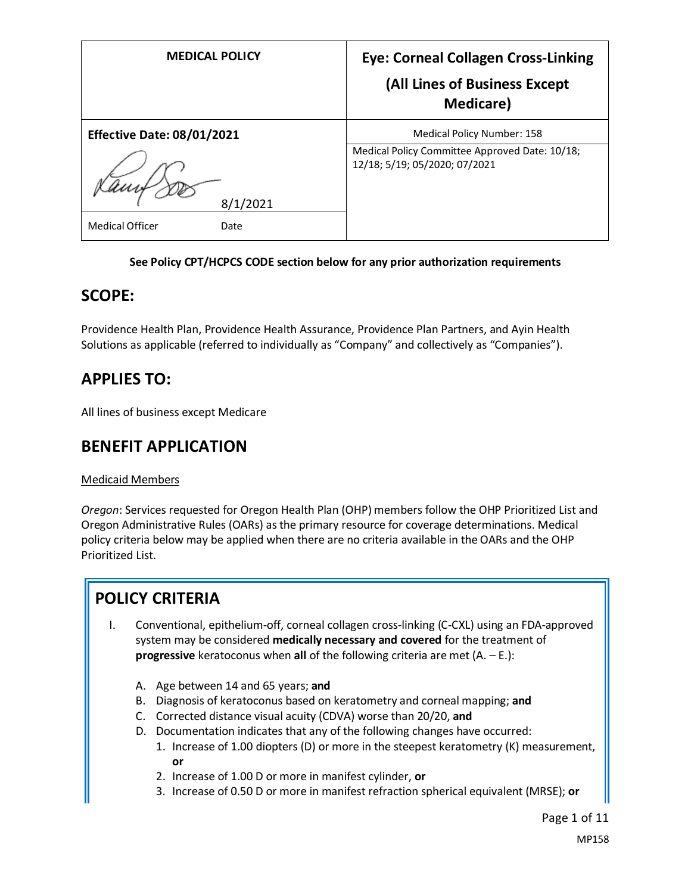| <b>MEDICAL POLICY</b>             | <b>Eye: Corneal Collagen Cross-Linking</b><br>(All Lines of Business Except<br><b>Medicare</b> ) |
|-----------------------------------|--------------------------------------------------------------------------------------------------|
| <b>Effective Date: 08/01/2021</b> | Medical Policy Number: 158                                                                       |
| 8/1/2021                          | Medical Policy Committee Approved Date: 10/18;<br>12/18; 5/19; 05/2020; 07/2021                  |
| <b>Medical Officer</b><br>Date    |                                                                                                  |

#### **See Policy CPT/HCPCS CODE section below for any prior authorization requirements**

### **SCOPE:**

Providence Health Plan, Providence Health Assurance, Providence Plan Partners, and Ayin Health Solutions as applicable (referred to individually as "Company" and collectively as "Companies").

## **APPLIES TO:**

All lines of business except Medicare

## **BENEFIT APPLICATION**

#### Medicaid Members

*Oregon*: Services requested for Oregon Health Plan (OHP) members follow the OHP Prioritized List and Oregon Administrative Rules (OARs) as the primary resource for coverage determinations. Medical policy criteria below may be applied when there are no criteria available in the OARs and the OHP Prioritized List.

## **POLICY CRITERIA**

- I. Conventional, epithelium-off, corneal collagen cross-linking (C-CXL) using an FDA-approved system may be considered **medically necessary and covered** for the treatment of **progressive** keratoconus when **all** of the following criteria are met (A. – E.):
	- A. Age between 14 and 65 years; **and**
	- B. Diagnosis of keratoconus based on keratometry and corneal mapping; **and**
	- C. Corrected distance visual acuity (CDVA) worse than 20/20, **and**
	- D. Documentation indicates that any of the following changes have occurred:
		- 1. Increase of 1.00 diopters (D) or more in the steepest keratometry (K) measurement, **or**
		- 2. Increase of 1.00 D or more in manifest cylinder, **or**
		- 3. Increase of 0.50 D or more in manifest refraction spherical equivalent (MRSE); **or**

Page 1 of 11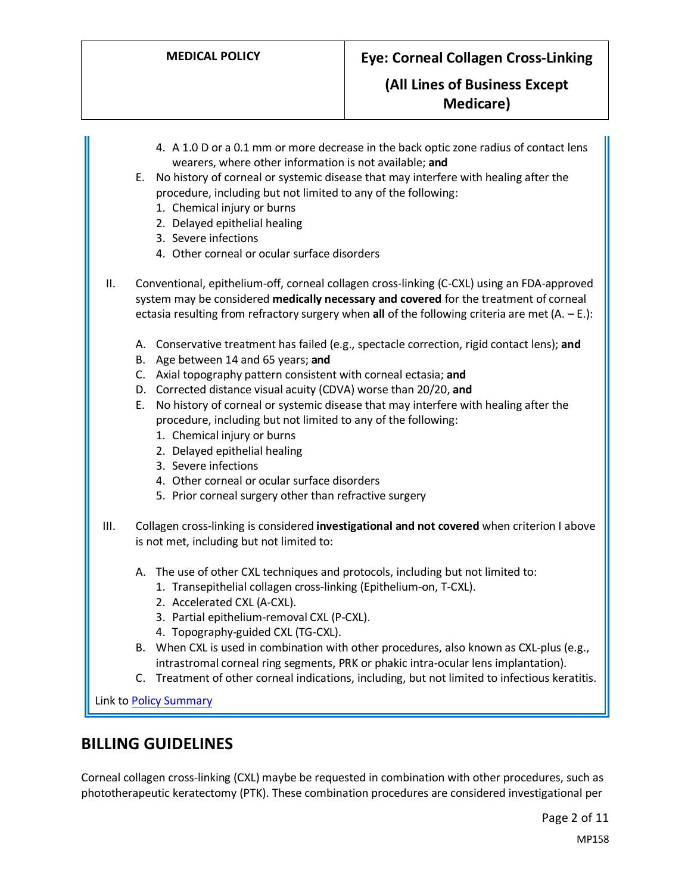- 4. A 1.0 D or a 0.1 mm or more decrease in the back optic zone radius of contact lens wearers, where other information is not available; **and**
- E. No history of corneal or systemic disease that may interfere with healing after the procedure, including but not limited to any of the following:
	- 1. Chemical injury or burns
	- 2. Delayed epithelial healing
	- 3. Severe infections
	- 4. Other corneal or ocular surface disorders
- II. Conventional, epithelium-off, corneal collagen cross-linking (C-CXL) using an FDA-approved system may be considered **medically necessary and covered** for the treatment of corneal ectasia resulting from refractory surgery when **all** of the following criteria are met (A. – E.):
	- A. Conservative treatment has failed (e.g., spectacle correction, rigid contact lens); **and**
	- B. Age between 14 and 65 years; **and**
	- C. Axial topography pattern consistent with corneal ectasia; **and**
	- D. Corrected distance visual acuity (CDVA) worse than 20/20, **and**
	- E. No history of corneal or systemic disease that may interfere with healing after the procedure, including but not limited to any of the following:
		- 1. Chemical injury or burns
		- 2. Delayed epithelial healing
		- 3. Severe infections
		- 4. Other corneal or ocular surface disorders
		- 5. Prior corneal surgery other than refractive surgery
- III. Collagen cross-linking is considered **investigational and not covered** when criterion I above is not met, including but not limited to:
	- A. The use of other CXL techniques and protocols, including but not limited to:
		- 1. Transepithelial collagen cross-linking (Epithelium-on, T-CXL).
		- 2. Accelerated CXL (A-CXL).
		- 3. Partial epithelium-removal CXL (P-CXL).
		- 4. Topography-guided CXL (TG-CXL).
	- B. When CXL is used in combination with other procedures, also known as CXL-plus (e.g., intrastromal corneal ring segments, PRK or phakic intra-ocular lens implantation).
	- C. Treatment of other corneal indications, including, but not limited to infectious keratitis.

Link t[o Policy Summary](#page-7-0)

## **BILLING GUIDELINES**

Corneal collagen cross-linking (CXL) maybe be requested in combination with other procedures, such as phototherapeutic keratectomy (PTK). These combination procedures are considered investigational per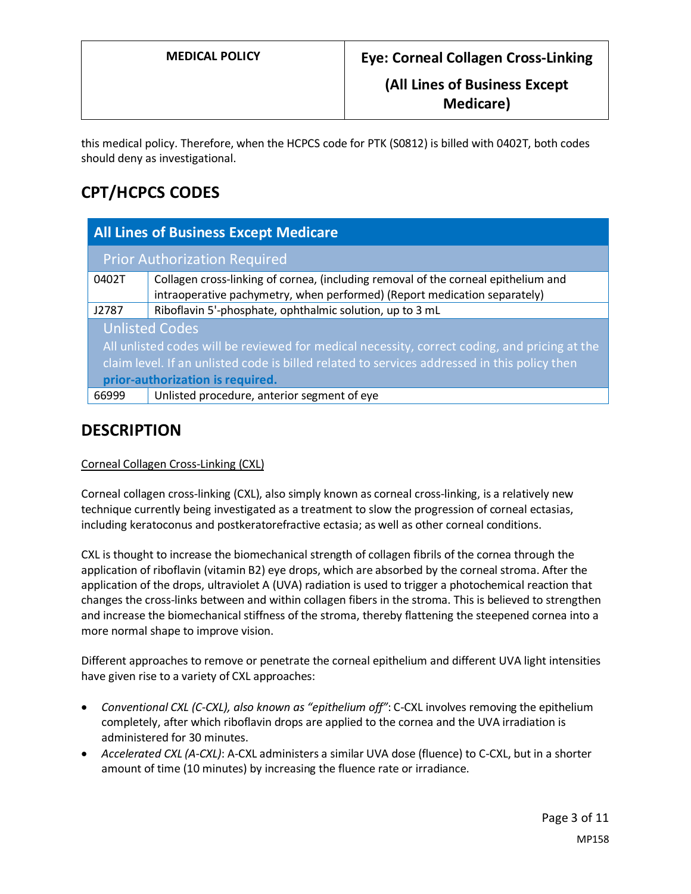this medical policy. Therefore, when the HCPCS code for PTK (S0812) is billed with 0402T, both codes should deny as investigational.

# **CPT/HCPCS CODES**

| <b>All Lines of Business Except Medicare</b>                                                  |                                                                                    |
|-----------------------------------------------------------------------------------------------|------------------------------------------------------------------------------------|
| <b>Prior Authorization Required</b>                                                           |                                                                                    |
| 0402T                                                                                         | Collagen cross-linking of cornea, (including removal of the corneal epithelium and |
|                                                                                               | intraoperative pachymetry, when performed) (Report medication separately)          |
| J2787                                                                                         | Riboflavin 5'-phosphate, ophthalmic solution, up to 3 mL                           |
| <b>Unlisted Codes</b>                                                                         |                                                                                    |
| All unlisted codes will be reviewed for medical necessity, correct coding, and pricing at the |                                                                                    |
| claim level. If an unlisted code is billed related to services addressed in this policy then  |                                                                                    |
| prior-authorization is required.                                                              |                                                                                    |
| 66999                                                                                         | Unlisted procedure, anterior segment of eye                                        |

## **DESCRIPTION**

#### Corneal Collagen Cross-Linking (CXL)

Corneal collagen cross-linking (CXL), also simply known as corneal cross-linking, is a relatively new technique currently being investigated as a treatment to slow the progression of corneal ectasias, including keratoconus and postkeratorefractive ectasia; as well as other corneal conditions.

CXL is thought to increase the biomechanical strength of collagen fibrils of the cornea through the application of riboflavin (vitamin B2) eye drops, which are absorbed by the corneal stroma. After the application of the drops, ultraviolet A (UVA) radiation is used to trigger a photochemical reaction that changes the cross-links between and within collagen fibers in the stroma. This is believed to strengthen and increase the biomechanical stiffness of the stroma, thereby flattening the steepened cornea into a more normal shape to improve vision.

Different approaches to remove or penetrate the corneal epithelium and different UVA light intensities have given rise to a variety of CXL approaches:

- *Conventional CXL (C-CXL), also known as "epithelium off"*: C-CXL involves removing the epithelium completely, after which riboflavin drops are applied to the cornea and the UVA irradiation is administered for 30 minutes.
- *Accelerated CXL (A-CXL)*: A-CXL administers a similar UVA dose (fluence) to C-CXL, but in a shorter amount of time (10 minutes) by increasing the fluence rate or irradiance.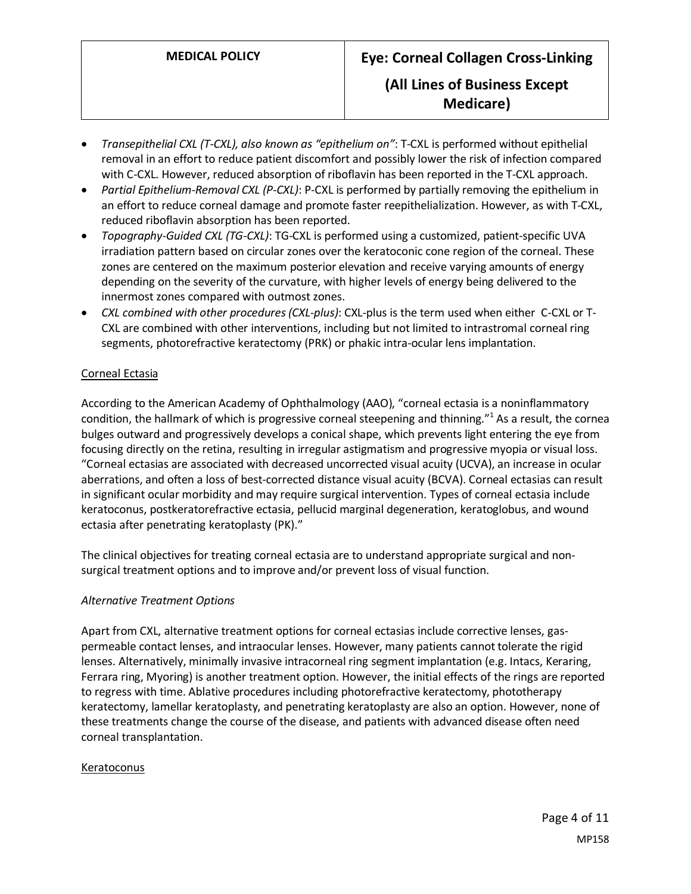- *Transepithelial CXL (T-CXL), also known as "epithelium on"*: T-CXL is performed without epithelial removal in an effort to reduce patient discomfort and possibly lower the risk of infection compared with C-CXL. However, reduced absorption of riboflavin has been reported in the T-CXL approach.
- *Partial Epithelium-Removal CXL (P-CXL)*: P-CXL is performed by partially removing the epithelium in an effort to reduce corneal damage and promote faster reepithelialization. However, as with T-CXL, reduced riboflavin absorption has been reported.
- *Topography-Guided CXL (TG-CXL)*: TG-CXL is performed using a customized, patient-specific UVA irradiation pattern based on circular zones over the keratoconic cone region of the corneal. These zones are centered on the maximum posterior elevation and receive varying amounts of energy depending on the severity of the curvature, with higher levels of energy being delivered to the innermost zones compared with outmost zones.
- *CXL combined with other procedures (CXL-plus)*: CXL-plus is the term used when either C-CXL or T-CXL are combined with other interventions, including but not limited to intrastromal corneal ring segments, photorefractive keratectomy (PRK) or phakic intra-ocular lens implantation.

#### Corneal Ectasia

According to the American Academy of Ophthalmology (AAO), "corneal ectasia is a noninflammatory condition, the hallmark of which is progressive corneal steepening and thinning."<sup>1</sup> As a result, the cornea bulges outward and progressively develops a conical shape, which prevents light entering the eye from focusing directly on the retina, resulting in irregular astigmatism and progressive myopia or visual loss. "Corneal ectasias are associated with decreased uncorrected visual acuity (UCVA), an increase in ocular aberrations, and often a loss of best-corrected distance visual acuity (BCVA). Corneal ectasias can result in significant ocular morbidity and may require surgical intervention. Types of corneal ectasia include keratoconus, postkeratorefractive ectasia, pellucid marginal degeneration, keratoglobus, and wound ectasia after penetrating keratoplasty (PK)."

The clinical objectives for treating corneal ectasia are to understand appropriate surgical and nonsurgical treatment options and to improve and/or prevent loss of visual function.

#### *Alternative Treatment Options*

Apart from CXL, alternative treatment options for corneal ectasias include corrective lenses, gaspermeable contact lenses, and intraocular lenses. However, many patients cannot tolerate the rigid lenses. Alternatively, minimally invasive intracorneal ring segment implantation (e.g. Intacs, Keraring, Ferrara ring, Myoring) is another treatment option. However, the initial effects of the rings are reported to regress with time. Ablative procedures including photorefractive keratectomy, phototherapy keratectomy, lamellar keratoplasty, and penetrating keratoplasty are also an option. However, none of these treatments change the course of the disease, and patients with advanced disease often need corneal transplantation.

#### Keratoconus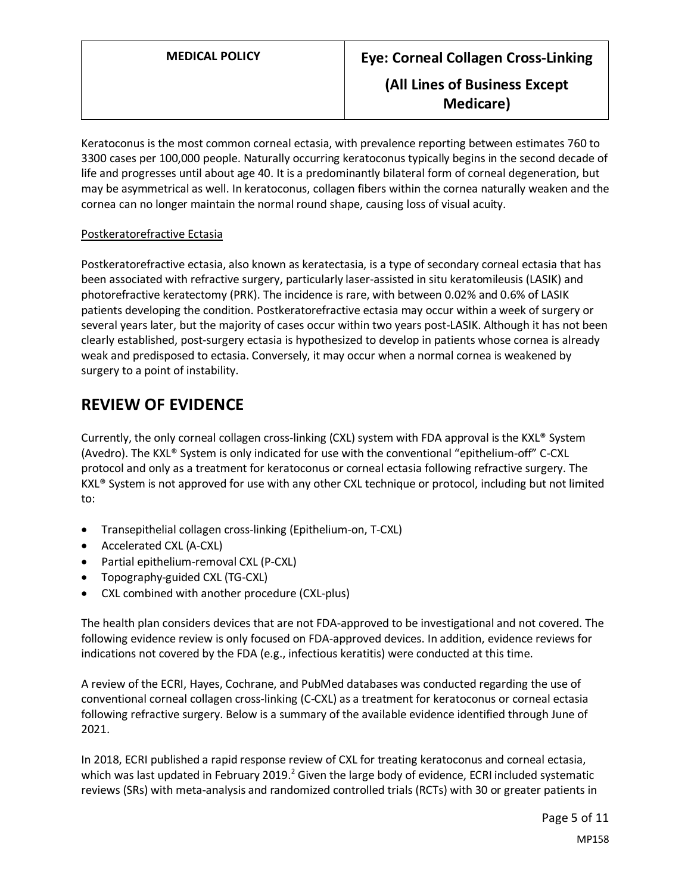Keratoconus is the most common corneal ectasia, with prevalence reporting between estimates 760 to 3300 cases per 100,000 people. Naturally occurring keratoconus typically begins in the second decade of life and progresses until about age 40. It is a predominantly bilateral form of corneal degeneration, but may be asymmetrical as well. In keratoconus, collagen fibers within the cornea naturally weaken and the cornea can no longer maintain the normal round shape, causing loss of visual acuity.

#### Postkeratorefractive Ectasia

Postkeratorefractive ectasia, also known as keratectasia, is a type of secondary corneal ectasia that has been associated with refractive surgery, particularly laser-assisted in situ keratomileusis (LASIK) and photorefractive keratectomy (PRK). The incidence is rare, with between 0.02% and 0.6% of LASIK patients developing the condition. Postkeratorefractive ectasia may occur within a week of surgery or several years later, but the majority of cases occur within two years post-LASIK. Although it has not been clearly established, post-surgery ectasia is hypothesized to develop in patients whose cornea is already weak and predisposed to ectasia. Conversely, it may occur when a normal cornea is weakened by surgery to a point of instability.

## **REVIEW OF EVIDENCE**

Currently, the only corneal collagen cross-linking (CXL) system with FDA approval is the KXL® System (Avedro). The KXL® System is only indicated for use with the conventional "epithelium-off" C-CXL protocol and only as a treatment for keratoconus or corneal ectasia following refractive surgery. The KXL® System is not approved for use with any other CXL technique or protocol, including but not limited to:

- Transepithelial collagen cross-linking (Epithelium-on, T-CXL)
- Accelerated CXL (A-CXL)
- Partial epithelium-removal CXL (P-CXL)
- Topography-guided CXL (TG-CXL)
- CXL combined with another procedure (CXL-plus)

The health plan considers devices that are not FDA-approved to be investigational and not covered. The following evidence review is only focused on FDA-approved devices. In addition, evidence reviews for indications not covered by the FDA (e.g., infectious keratitis) were conducted at this time.

A review of the ECRI, Hayes, Cochrane, and PubMed databases was conducted regarding the use of conventional corneal collagen cross-linking (C-CXL) as a treatment for keratoconus or corneal ectasia following refractive surgery. Below is a summary of the available evidence identified through June of 2021.

In 2018, ECRI published a rapid response review of CXL for treating keratoconus and corneal ectasia, which was last updated in February 2019.<sup>2</sup> Given the large body of evidence, ECRI included systematic reviews (SRs) with meta-analysis and randomized controlled trials (RCTs) with 30 or greater patients in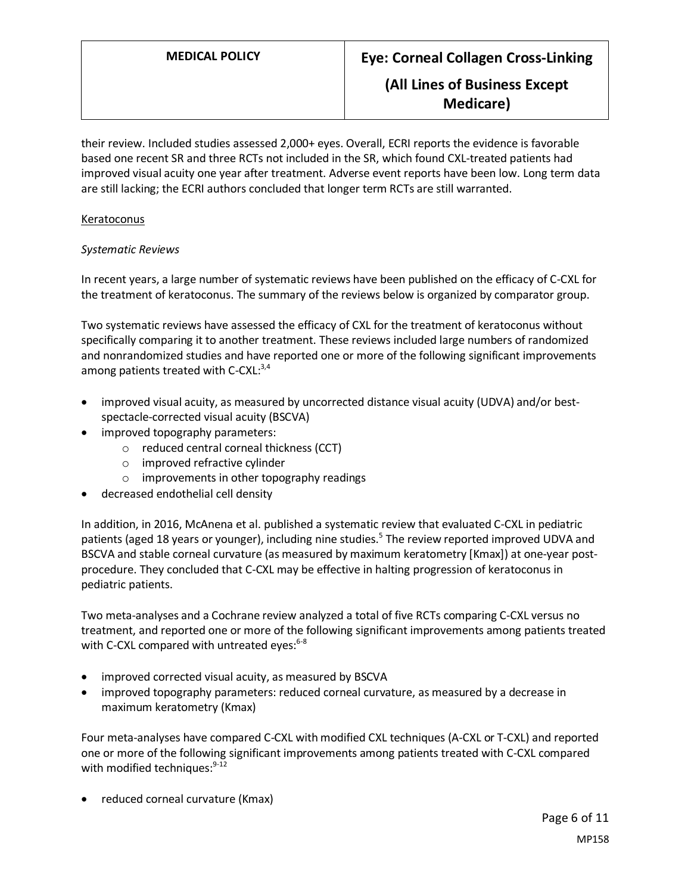their review. Included studies assessed 2,000+ eyes. Overall, ECRI reports the evidence is favorable based one recent SR and three RCTs not included in the SR, which found CXL-treated patients had improved visual acuity one year after treatment. Adverse event reports have been low. Long term data are still lacking; the ECRI authors concluded that longer term RCTs are still warranted.

#### **Keratoconus**

#### *Systematic Reviews*

In recent years, a large number of systematic reviews have been published on the efficacy of C-CXL for the treatment of keratoconus. The summary of the reviews below is organized by comparator group.

Two systematic reviews have assessed the efficacy of CXL for the treatment of keratoconus without specifically comparing it to another treatment. These reviews included large numbers of randomized and nonrandomized studies and have reported one or more of the following significant improvements among patients treated with C-CXL:<sup>3,4</sup>

- improved visual acuity, as measured by uncorrected distance visual acuity (UDVA) and/or bestspectacle-corrected visual acuity (BSCVA)
- improved topography parameters:
	- o reduced central corneal thickness (CCT)
	- o improved refractive cylinder
	- o improvements in other topography readings
- decreased endothelial cell density

In addition, in 2016, McAnena et al. published a systematic review that evaluated C-CXL in pediatric patients (aged 18 years or younger), including nine studies.<sup>5</sup> The review reported improved UDVA and BSCVA and stable corneal curvature (as measured by maximum keratometry [Kmax]) at one-year postprocedure. They concluded that C-CXL may be effective in halting progression of keratoconus in pediatric patients.

Two meta-analyses and a Cochrane review analyzed a total of five RCTs comparing C-CXL versus no treatment, and reported one or more of the following significant improvements among patients treated with C-CXL compared with untreated eyes:<sup>6-8</sup>

- improved corrected visual acuity, as measured by BSCVA
- improved topography parameters: reduced corneal curvature, as measured by a decrease in maximum keratometry (Kmax)

Four meta-analyses have compared C-CXL with modified CXL techniques (A-CXL or T-CXL) and reported one or more of the following significant improvements among patients treated with C-CXL compared with modified techniques: $9-12$ 

• reduced corneal curvature (Kmax)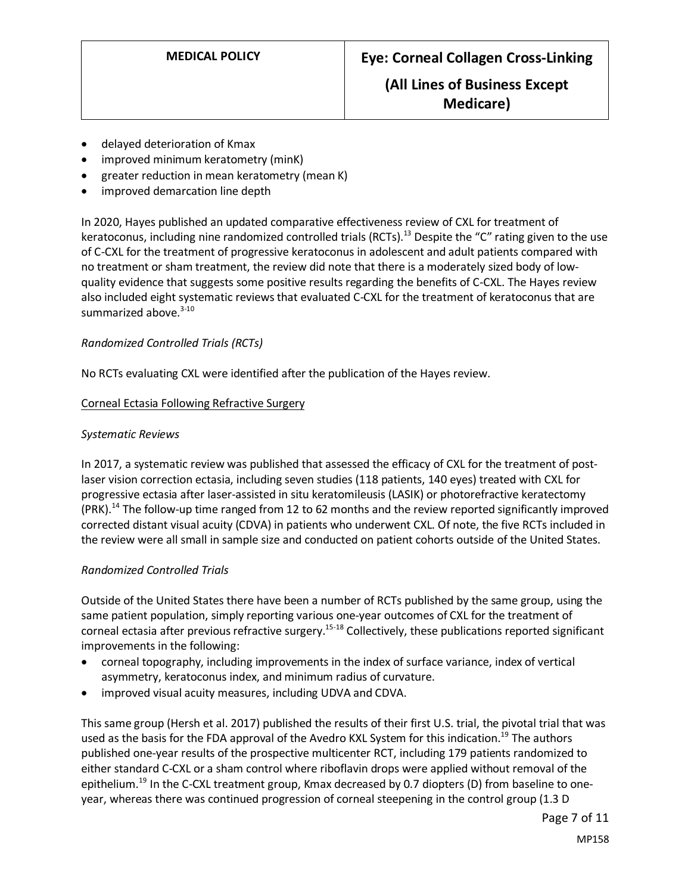- delayed deterioration of Kmax
- improved minimum keratometry (minK)
- greater reduction in mean keratometry (mean K)
- improved demarcation line depth

In 2020, Hayes published an updated comparative effectiveness review of CXL for treatment of keratoconus, including nine randomized controlled trials (RCTs).<sup>13</sup> Despite the "C" rating given to the use of C-CXL for the treatment of progressive keratoconus in adolescent and adult patients compared with no treatment or sham treatment, the review did note that there is a moderately sized body of lowquality evidence that suggests some positive results regarding the benefits of C-CXL. The Hayes review also included eight systematic reviews that evaluated C-CXL for the treatment of keratoconus that are summarized above.<sup>3-10</sup>

#### *Randomized Controlled Trials (RCTs)*

No RCTs evaluating CXL were identified after the publication of the Hayes review.

#### Corneal Ectasia Following Refractive Surgery

#### *Systematic Reviews*

In 2017, a systematic review was published that assessed the efficacy of CXL for the treatment of postlaser vision correction ectasia, including seven studies (118 patients, 140 eyes) treated with CXL for progressive ectasia after laser-assisted in situ keratomileusis (LASIK) or photorefractive keratectomy (PRK).<sup>14</sup> The follow-up time ranged from 12 to 62 months and the review reported significantly improved corrected distant visual acuity (CDVA) in patients who underwent CXL. Of note, the five RCTs included in the review were all small in sample size and conducted on patient cohorts outside of the United States.

#### *Randomized Controlled Trials*

Outside of the United States there have been a number of RCTs published by the same group, using the same patient population, simply reporting various one-year outcomes of CXL for the treatment of corneal ectasia after previous refractive surgery.<sup>15-18</sup> Collectively, these publications reported significant improvements in the following:

- corneal topography, including improvements in the index of surface variance, index of vertical asymmetry, keratoconus index, and minimum radius of curvature.
- improved visual acuity measures, including UDVA and CDVA.

This same group (Hersh et al. 2017) published the results of their first U.S. trial, the pivotal trial that was used as the basis for the FDA approval of the Avedro KXL System for this indication.<sup>19</sup> The authors published one-year results of the prospective multicenter RCT, including 179 patients randomized to either standard C-CXL or a sham control where riboflavin drops were applied without removal of the epithelium.<sup>19</sup> In the C-CXL treatment group, Kmax decreased by 0.7 diopters (D) from baseline to oneyear, whereas there was continued progression of corneal steepening in the control group (1.3 D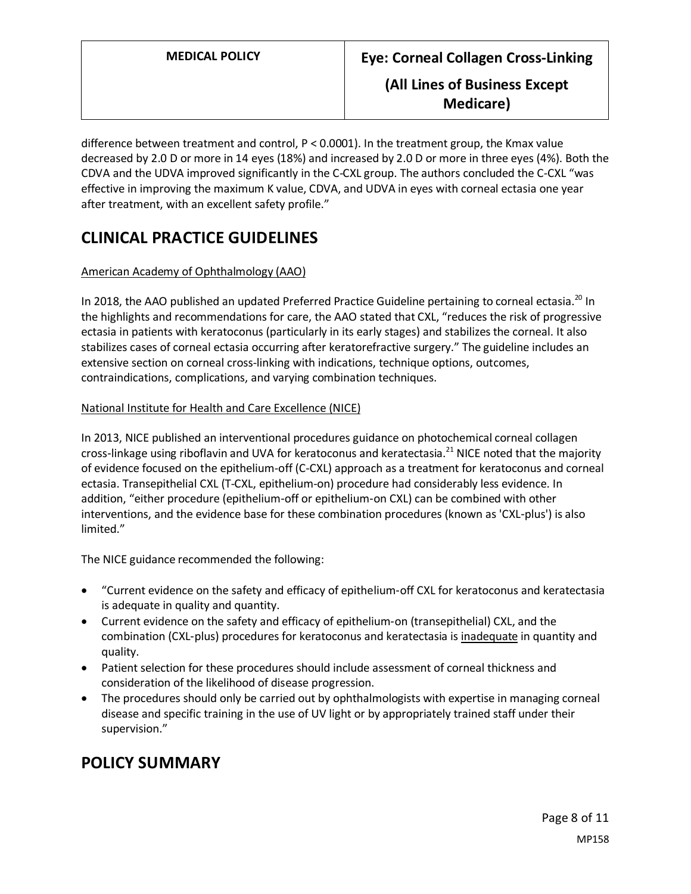difference between treatment and control, P < 0.0001). In the treatment group, the Kmax value decreased by 2.0 D or more in 14 eyes (18%) and increased by 2.0 D or more in three eyes (4%). Both the CDVA and the UDVA improved significantly in the C-CXL group. The authors concluded the C-CXL "was effective in improving the maximum K value, CDVA, and UDVA in eyes with corneal ectasia one year after treatment, with an excellent safety profile."

# **CLINICAL PRACTICE GUIDELINES**

### American Academy of Ophthalmology (AAO)

In 2018, the AAO published an updated Preferred Practice Guideline pertaining to corneal ectasia.<sup>20</sup> In the highlights and recommendations for care, the AAO stated that CXL, "reduces the risk of progressive ectasia in patients with keratoconus (particularly in its early stages) and stabilizes the corneal. It also stabilizes cases of corneal ectasia occurring after keratorefractive surgery." The guideline includes an extensive section on corneal cross-linking with indications, technique options, outcomes, contraindications, complications, and varying combination techniques.

#### National Institute for Health and Care Excellence (NICE)

In 2013, NICE published an interventional procedures guidance on photochemical corneal collagen cross-linkage using riboflavin and UVA for keratoconus and keratectasia.<sup>21</sup> NICE noted that the majority of evidence focused on the epithelium-off (C-CXL) approach as a treatment for keratoconus and corneal ectasia. Transepithelial CXL (T-CXL, epithelium-on) procedure had considerably less evidence. In addition, "either procedure (epithelium-off or epithelium-on CXL) can be combined with other interventions, and the evidence base for these combination procedures (known as 'CXL-plus') is also limited."

The NICE guidance recommended the following:

- "Current evidence on the safety and efficacy of epithelium‑off CXL for keratoconus and keratectasia is adequate in quality and quantity.
- Current evidence on the safety and efficacy of epithelium-on (transepithelial) CXL, and the combination (CXL‑plus) procedures for keratoconus and keratectasia is inadequate in quantity and quality.
- Patient selection for these procedures should include assessment of corneal thickness and consideration of the likelihood of disease progression.
- The procedures should only be carried out by ophthalmologists with expertise in managing corneal disease and specific training in the use of UV light or by appropriately trained staff under their supervision."

## <span id="page-7-0"></span>**POLICY SUMMARY**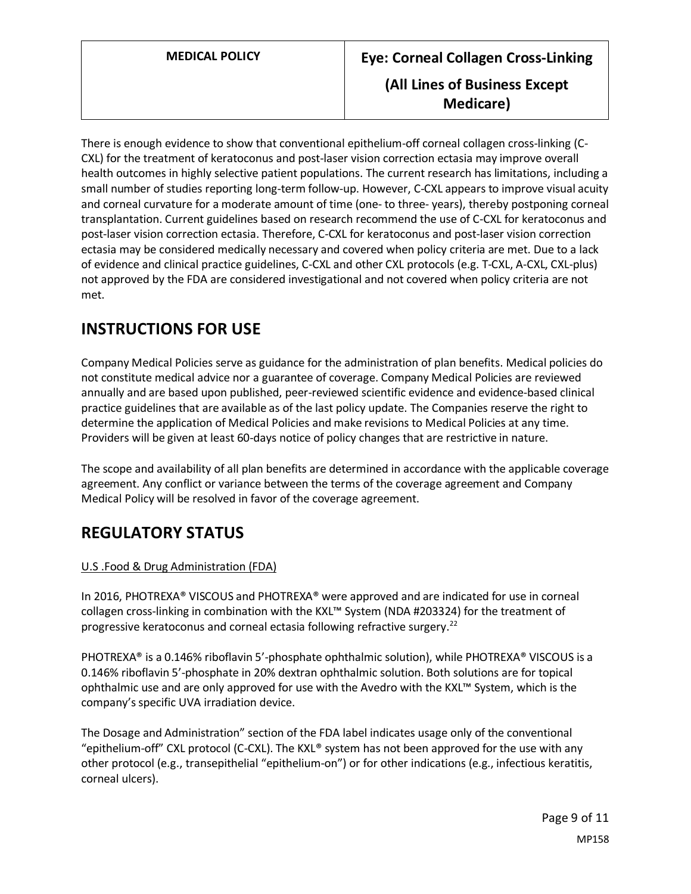There is enough evidence to show that conventional epithelium-off corneal collagen cross-linking (C-CXL) for the treatment of keratoconus and post-laser vision correction ectasia may improve overall health outcomes in highly selective patient populations. The current research has limitations, including a small number of studies reporting long-term follow-up. However, C-CXL appears to improve visual acuity and corneal curvature for a moderate amount of time (one- to three- years), thereby postponing corneal transplantation. Current guidelines based on research recommend the use of C-CXL for keratoconus and post-laser vision correction ectasia. Therefore, C-CXL for keratoconus and post-laser vision correction ectasia may be considered medically necessary and covered when policy criteria are met. Due to a lack of evidence and clinical practice guidelines, C-CXL and other CXL protocols (e.g. T-CXL, A-CXL, CXL-plus) not approved by the FDA are considered investigational and not covered when policy criteria are not met.

# **INSTRUCTIONS FOR USE**

Company Medical Policies serve as guidance for the administration of plan benefits. Medical policies do not constitute medical advice nor a guarantee of coverage. Company Medical Policies are reviewed annually and are based upon published, peer-reviewed scientific evidence and evidence-based clinical practice guidelines that are available as of the last policy update. The Companies reserve the right to determine the application of Medical Policies and make revisions to Medical Policies at any time. Providers will be given at least 60-days notice of policy changes that are restrictive in nature.

The scope and availability of all plan benefits are determined in accordance with the applicable coverage agreement. Any conflict or variance between the terms of the coverage agreement and Company Medical Policy will be resolved in favor of the coverage agreement.

## **REGULATORY STATUS**

### U.S .Food & Drug Administration (FDA)

In 2016, PHOTREXA® VISCOUS and PHOTREXA® were approved and are indicated for use in corneal collagen cross-linking in combination with the KXL™ System (NDA #203324) for the treatment of progressive keratoconus and corneal ectasia following refractive surgery.<sup>22</sup>

PHOTREXA® is a 0.146% riboflavin 5'-phosphate ophthalmic solution), while PHOTREXA® VISCOUS is a 0.146% riboflavin 5'-phosphate in 20% dextran ophthalmic solution. Both solutions are for topical ophthalmic use and are only approved for use with the Avedro with the KXL™ System, which is the company's specific UVA irradiation device.

The Dosage and Administration" section of the FDA label indicates usage only of the conventional "epithelium-off" CXL protocol (C-CXL). The KXL® system has not been approved for the use with any other protocol (e.g., transepithelial "epithelium-on") or for other indications (e.g., infectious keratitis, corneal ulcers).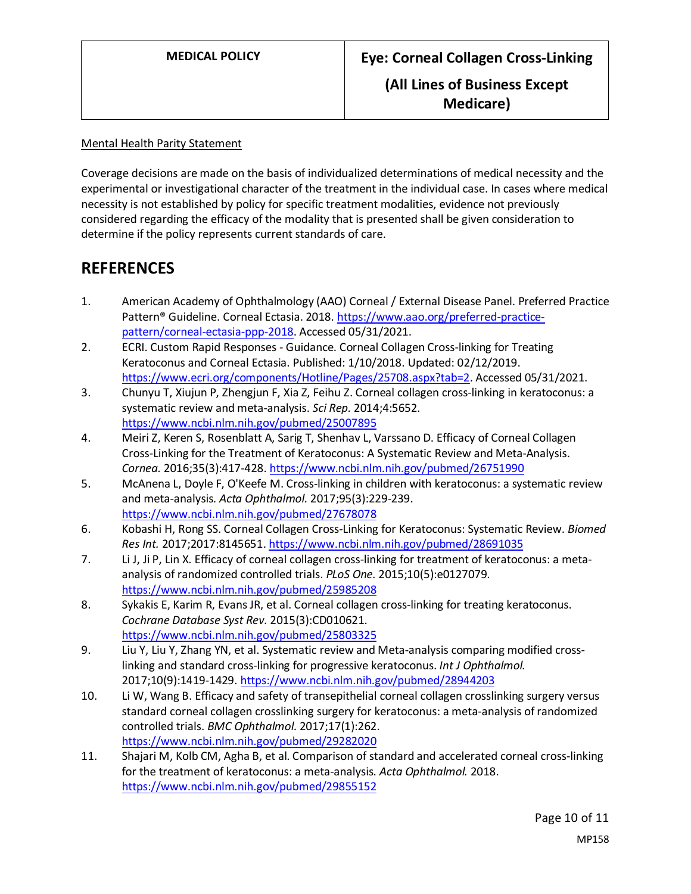Mental Health Parity Statement

Coverage decisions are made on the basis of individualized determinations of medical necessity and the experimental or investigational character of the treatment in the individual case. In cases where medical necessity is not established by policy for specific treatment modalities, evidence not previously considered regarding the efficacy of the modality that is presented shall be given consideration to determine if the policy represents current standards of care.

## **REFERENCES**

- 1. American Academy of Ophthalmology (AAO) Corneal / External Disease Panel. Preferred Practice Pattern<sup>®</sup> Guideline. Corneal Ectasia. 2018[. https://www.aao.org/preferred-practice](https://www.aao.org/preferred-practice-pattern/corneal-ectasia-ppp-2018)[pattern/corneal-ectasia-ppp-2018.](https://www.aao.org/preferred-practice-pattern/corneal-ectasia-ppp-2018) Accessed 05/31/2021.
- 2. ECRI. Custom Rapid Responses Guidance. Corneal Collagen Cross-linking for Treating Keratoconus and Corneal Ectasia. Published: 1/10/2018. Updated: 02/12/2019. [https://www.ecri.org/components/Hotline/Pages/25708.aspx?tab=2.](https://www.ecri.org/components/Hotline/Pages/25708.aspx?tab=2) Accessed 05/31/2021.
- 3. Chunyu T, Xiujun P, Zhengjun F, Xia Z, Feihu Z. Corneal collagen cross-linking in keratoconus: a systematic review and meta-analysis. *Sci Rep.* 2014;4:5652. <https://www.ncbi.nlm.nih.gov/pubmed/25007895>
- 4. Meiri Z, Keren S, Rosenblatt A, Sarig T, Shenhav L, Varssano D. Efficacy of Corneal Collagen Cross-Linking for the Treatment of Keratoconus: A Systematic Review and Meta-Analysis. *Cornea.* 2016;35(3):417-428[. https://www.ncbi.nlm.nih.gov/pubmed/26751990](https://www.ncbi.nlm.nih.gov/pubmed/26751990)
- 5. McAnena L, Doyle F, O'Keefe M. Cross-linking in children with keratoconus: a systematic review and meta-analysis. *Acta Ophthalmol.* 2017;95(3):229-239. <https://www.ncbi.nlm.nih.gov/pubmed/27678078>
- 6. Kobashi H, Rong SS. Corneal Collagen Cross-Linking for Keratoconus: Systematic Review. *Biomed Res Int.* 2017;2017:8145651[. https://www.ncbi.nlm.nih.gov/pubmed/28691035](https://www.ncbi.nlm.nih.gov/pubmed/28691035)
- 7. Li J, Ji P, Lin X. Efficacy of corneal collagen cross-linking for treatment of keratoconus: a metaanalysis of randomized controlled trials. *PLoS One.* 2015;10(5):e0127079. <https://www.ncbi.nlm.nih.gov/pubmed/25985208>
- 8. Sykakis E, Karim R, Evans JR, et al. Corneal collagen cross-linking for treating keratoconus. *Cochrane Database Syst Rev.* 2015(3):CD010621. <https://www.ncbi.nlm.nih.gov/pubmed/25803325>
- 9. Liu Y, Liu Y, Zhang YN, et al. Systematic review and Meta-analysis comparing modified crosslinking and standard cross-linking for progressive keratoconus. *Int J Ophthalmol.*  2017;10(9):1419-1429.<https://www.ncbi.nlm.nih.gov/pubmed/28944203>
- 10. Li W, Wang B. Efficacy and safety of transepithelial corneal collagen crosslinking surgery versus standard corneal collagen crosslinking surgery for keratoconus: a meta-analysis of randomized controlled trials. *BMC Ophthalmol.* 2017;17(1):262. <https://www.ncbi.nlm.nih.gov/pubmed/29282020>
- 11. Shajari M, Kolb CM, Agha B, et al. Comparison of standard and accelerated corneal cross-linking for the treatment of keratoconus: a meta-analysis. *Acta Ophthalmol.* 2018. <https://www.ncbi.nlm.nih.gov/pubmed/29855152>